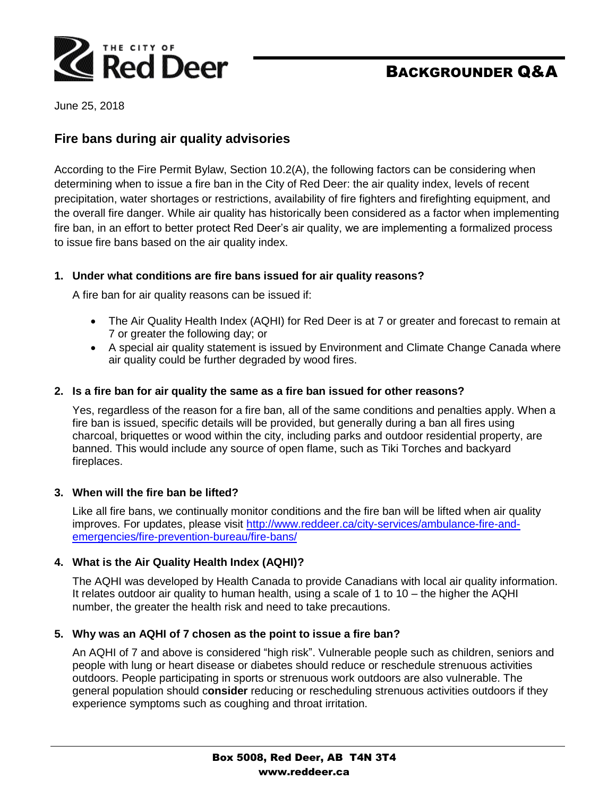

# BACKGROUNDER Q&A

June 25, 2018

# **Fire bans during air quality advisories**

According to the Fire Permit Bylaw, Section 10.2(A), the following factors can be considering when determining when to issue a fire ban in the City of Red Deer: the air quality index, levels of recent precipitation, water shortages or restrictions, availability of fire fighters and firefighting equipment, and the overall fire danger. While air quality has historically been considered as a factor when implementing fire ban, in an effort to better protect Red Deer's air quality, we are implementing a formalized process to issue fire bans based on the air quality index.

### **1. Under what conditions are fire bans issued for air quality reasons?**

A fire ban for air quality reasons can be issued if:

- The Air Quality Health Index (AQHI) for Red Deer is at 7 or greater and forecast to remain at 7 or greater the following day; or
- A special air quality statement is issued by Environment and Climate Change Canada where air quality could be further degraded by wood fires.

#### **2. Is a fire ban for air quality the same as a fire ban issued for other reasons?**

Yes, regardless of the reason for a fire ban, all of the same conditions and penalties apply. When a fire ban is issued, specific details will be provided, but generally during a ban all fires using charcoal, briquettes or wood within the city, including parks and outdoor residential property, are banned. This would include any source of open flame, such as Tiki Torches and backyard fireplaces.

#### **3. When will the fire ban be lifted?**

Like all fire bans, we continually monitor conditions and the fire ban will be lifted when air quality improves. For updates, please visit [http://www.reddeer.ca/city-services/ambulance-fire-and](http://www.reddeer.ca/city-services/ambulance-fire-and-emergencies/fire-prevention-bureau/fire-bans/)[emergencies/fire-prevention-bureau/fire-bans/](http://www.reddeer.ca/city-services/ambulance-fire-and-emergencies/fire-prevention-bureau/fire-bans/)

### **4. What is the Air Quality Health Index (AQHI)?**

The AQHI was developed by Health Canada to provide Canadians with local air quality information. It relates outdoor air quality to human health, using a scale of 1 to 10 – the higher the AQHI number, the greater the health risk and need to take precautions.

### **5. Why was an AQHI of 7 chosen as the point to issue a fire ban?**

An AQHI of 7 and above is considered "high risk". Vulnerable people such as children, seniors and people with lung or heart disease or diabetes should reduce or reschedule strenuous activities outdoors. People participating in sports or strenuous work outdoors are also vulnerable. The general population should c**onsider** reducing or rescheduling strenuous activities outdoors if they experience symptoms such as coughing and throat irritation.